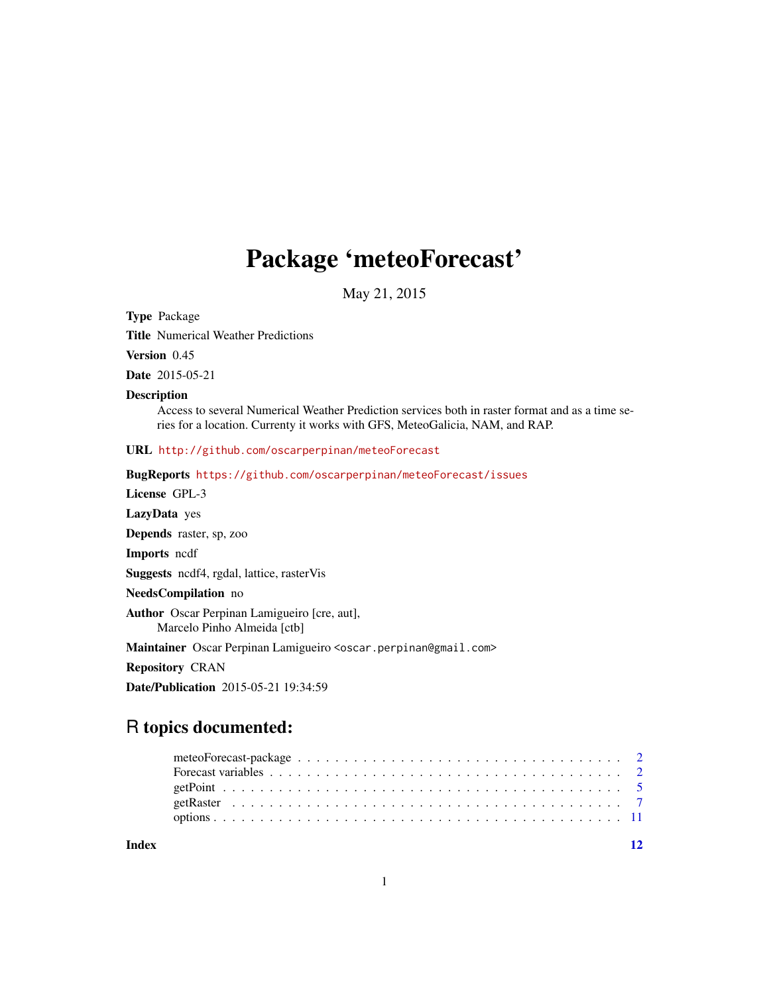## Package 'meteoForecast'

May 21, 2015

<span id="page-0-0"></span>Type Package

Title Numerical Weather Predictions

Version 0.45

Date 2015-05-21

#### Description

Access to several Numerical Weather Prediction services both in raster format and as a time series for a location. Currenty it works with GFS, MeteoGalicia, NAM, and RAP.

URL <http://github.com/oscarperpinan/meteoForecast>

BugReports <https://github.com/oscarperpinan/meteoForecast/issues>

License GPL-3

LazyData yes

Depends raster, sp, zoo

Imports ncdf

Suggests ncdf4, rgdal, lattice, rasterVis

NeedsCompilation no

Author Oscar Perpinan Lamigueiro [cre, aut], Marcelo Pinho Almeida [ctb]

Maintainer Oscar Perpinan Lamigueiro <oscar.perpinan@gmail.com>

Repository CRAN

Date/Publication 2015-05-21 19:34:59

### R topics documented:

**Index** [12](#page-11-0)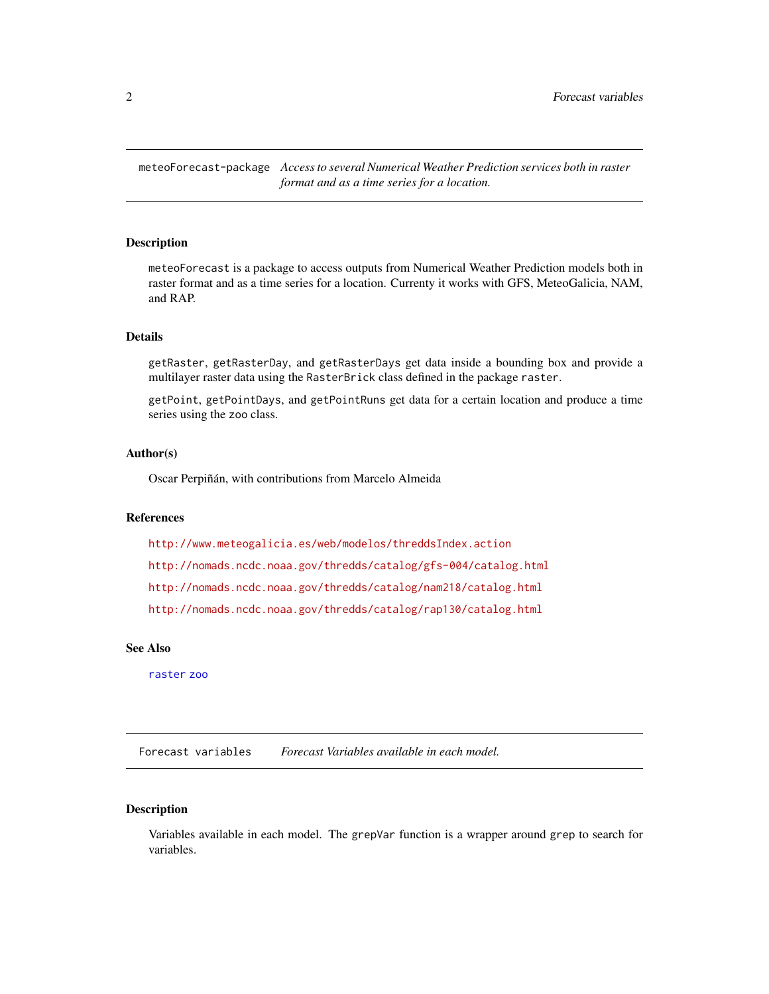<span id="page-1-0"></span>meteoForecast-package *Access to several Numerical Weather Prediction services both in raster format and as a time series for a location.*

#### **Description**

meteoForecast is a package to access outputs from Numerical Weather Prediction models both in raster format and as a time series for a location. Currenty it works with GFS, MeteoGalicia, NAM, and RAP.

#### Details

getRaster, getRasterDay, and getRasterDays get data inside a bounding box and provide a multilayer raster data using the RasterBrick class defined in the package raster.

getPoint, getPointDays, and getPointRuns get data for a certain location and produce a time series using the zoo class.

#### Author(s)

Oscar Perpiñán, with contributions from Marcelo Almeida

#### References

<http://www.meteogalicia.es/web/modelos/threddsIndex.action> <http://nomads.ncdc.noaa.gov/thredds/catalog/gfs-004/catalog.html> <http://nomads.ncdc.noaa.gov/thredds/catalog/nam218/catalog.html> <http://nomads.ncdc.noaa.gov/thredds/catalog/rap130/catalog.html>

#### See Also

[raster](#page-0-0) [zoo](#page-0-0)

Forecast variables *Forecast Variables available in each model.*

#### <span id="page-1-1"></span>Description

Variables available in each model. The grepVar function is a wrapper around grep to search for variables.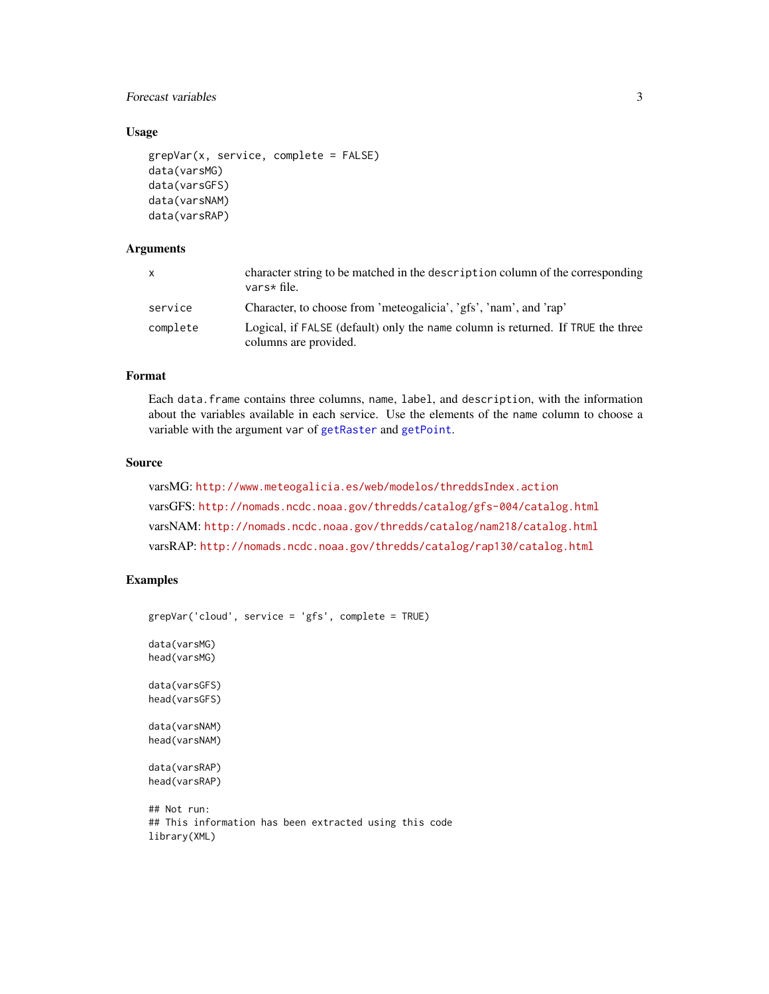#### <span id="page-2-0"></span>Forecast variables 3

#### Usage

```
grepVar(x, service, complete = FALSE)
data(varsMG)
data(varsGFS)
data(varsNAM)
data(varsRAP)
```
#### Arguments

| X        | character string to be matched in the description column of the corresponding<br>vars* file.             |
|----------|----------------------------------------------------------------------------------------------------------|
| service  | Character, to choose from 'meteogalicia', 'gfs', 'nam', and 'rap'                                        |
| complete | Logical, if FALSE (default) only the name column is returned. If TRUE the three<br>columns are provided. |

#### Format

Each data.frame contains three columns, name, label, and description, with the information about the variables available in each service. Use the elements of the name column to choose a variable with the argument var of [getRaster](#page-6-1) and [getPoint](#page-4-1).

#### Source

```
varsMG: http://www.meteogalicia.es/web/modelos/threddsIndex.action
varsGFS: http://nomads.ncdc.noaa.gov/thredds/catalog/gfs-004/catalog.html
varsNAM: http://nomads.ncdc.noaa.gov/thredds/catalog/nam218/catalog.html
varsRAP: http://nomads.ncdc.noaa.gov/thredds/catalog/rap130/catalog.html
```
#### Examples

```
grepVar('cloud', service = 'gfs', complete = TRUE)
```
data(varsMG) head(varsMG)

data(varsGFS) head(varsGFS)

data(varsNAM) head(varsNAM)

data(varsRAP) head(varsRAP)

```
## Not run:
## This information has been extracted using this code
library(XML)
```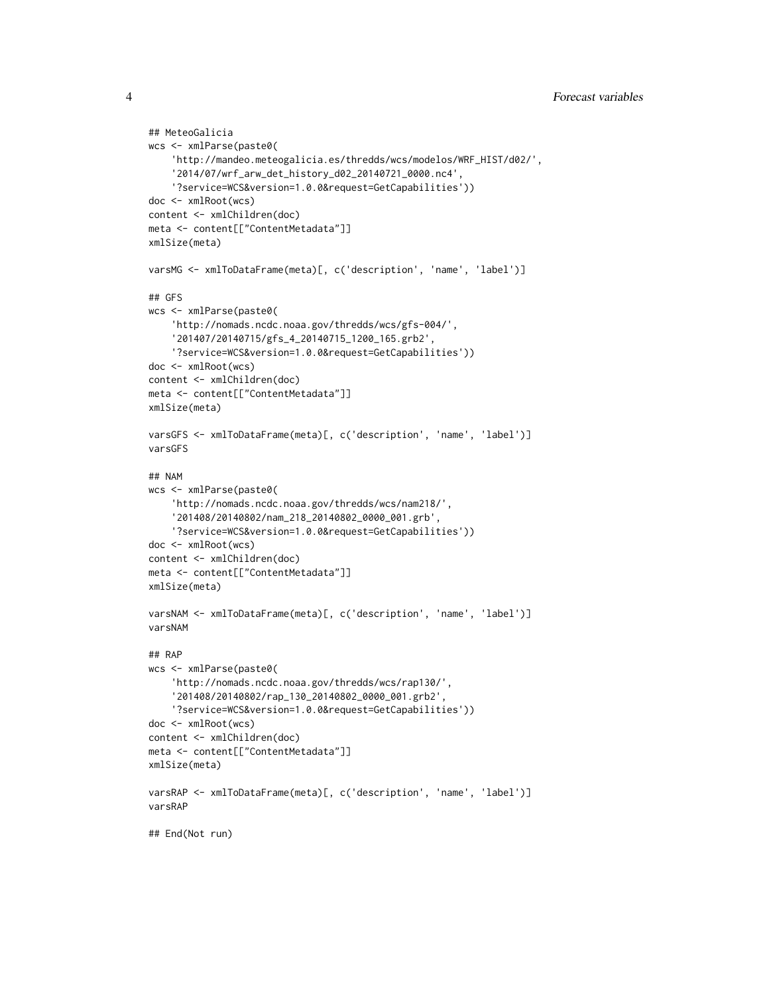```
## MeteoGalicia
wcs <- xmlParse(paste0(
    'http://mandeo.meteogalicia.es/thredds/wcs/modelos/WRF_HIST/d02/',
    '2014/07/wrf_arw_det_history_d02_20140721_0000.nc4',
    '?service=WCS&version=1.0.0&request=GetCapabilities'))
doc <- xmlRoot(wcs)
content <- xmlChildren(doc)
meta <- content[["ContentMetadata"]]
xmlSize(meta)
varsMG <- xmlToDataFrame(meta)[, c('description', 'name', 'label')]
## GFS
wcs <- xmlParse(paste0(
    'http://nomads.ncdc.noaa.gov/thredds/wcs/gfs-004/',
    '201407/20140715/gfs_4_20140715_1200_165.grb2',
    '?service=WCS&version=1.0.0&request=GetCapabilities'))
doc <- xmlRoot(wcs)
content <- xmlChildren(doc)
meta <- content[["ContentMetadata"]]
xmlSize(meta)
varsGFS <- xmlToDataFrame(meta)[, c('description', 'name', 'label')]
varsGFS
## NAM
wcs <- xmlParse(paste0(
    'http://nomads.ncdc.noaa.gov/thredds/wcs/nam218/',
    '201408/20140802/nam_218_20140802_0000_001.grb',
    '?service=WCS&version=1.0.0&request=GetCapabilities'))
doc <- xmlRoot(wcs)
content <- xmlChildren(doc)
meta <- content[["ContentMetadata"]]
xmlSize(meta)
varsNAM <- xmlToDataFrame(meta)[, c('description', 'name', 'label')]
varsNAM
## RAP
wcs <- xmlParse(paste0(
    'http://nomads.ncdc.noaa.gov/thredds/wcs/rap130/',
    '201408/20140802/rap_130_20140802_0000_001.grb2',
    '?service=WCS&version=1.0.0&request=GetCapabilities'))
doc <- xmlRoot(wcs)
content <- xmlChildren(doc)
meta <- content[["ContentMetadata"]]
xmlSize(meta)
varsRAP <- xmlToDataFrame(meta)[, c('description', 'name', 'label')]
varsRAP
## End(Not run)
```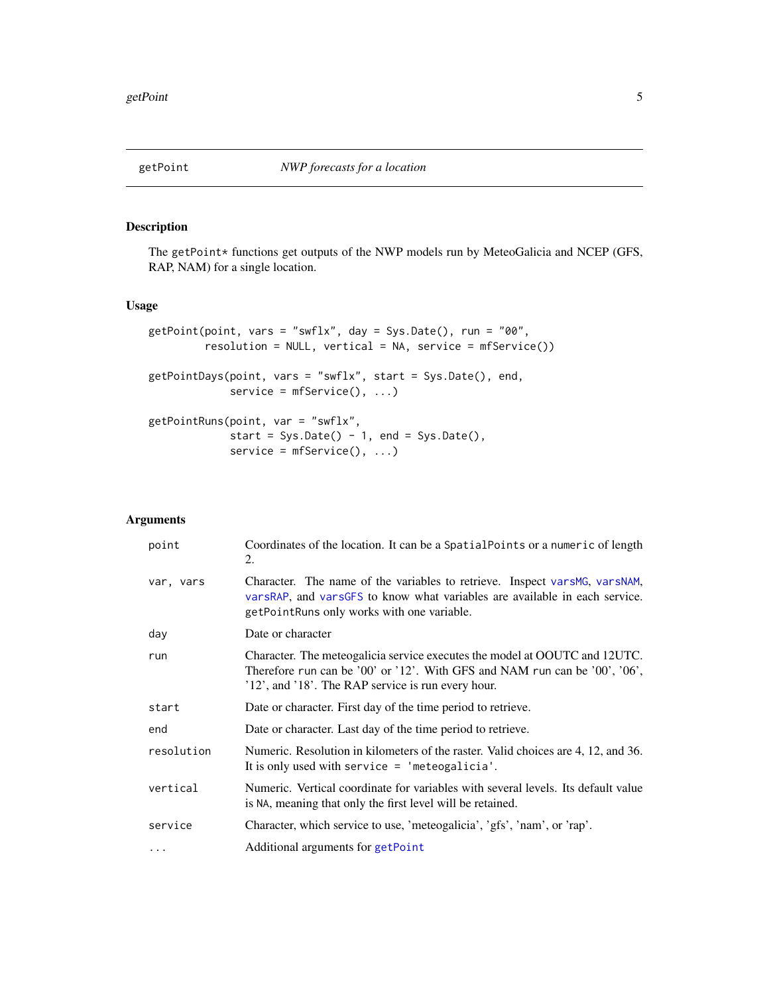<span id="page-4-1"></span><span id="page-4-0"></span>

#### Description

The getPoint\* functions get outputs of the NWP models run by MeteoGalicia and NCEP (GFS, RAP, NAM) for a single location.

#### Usage

```
getPoint(point, vars = "swflx", day = Sys.Date(), run = "00",
        resolution = NULL, vertical = NA, service = mfService())
getPointDays(point, vars = "swflx", start = Sys.Date(), end,
             service = mfService(), ...)
getPointRuns(point, var = "swflx",
            start = Sys.Date() - 1, end = Sys.Date(),service = mfService(), ...)
```
#### Arguments

| point      | Coordinates of the location. It can be a SpatialPoints or a numeric of length<br>2.                                                                                                                            |
|------------|----------------------------------------------------------------------------------------------------------------------------------------------------------------------------------------------------------------|
| var, vars  | Character. The name of the variables to retrieve. Inspect varsMG, varsNAM,<br>varsRAP, and varsGFS to know what variables are available in each service.<br>getPointRuns only works with one variable.         |
| day        | Date or character                                                                                                                                                                                              |
| run        | Character. The meteogalicia service executes the model at OOUTC and 12UTC.<br>Therefore run can be '00' or '12'. With GFS and NAM run can be '00', '06',<br>'12', and '18'. The RAP service is run every hour. |
| start      | Date or character. First day of the time period to retrieve.                                                                                                                                                   |
| end        | Date or character. Last day of the time period to retrieve.                                                                                                                                                    |
| resolution | Numeric. Resolution in kilometers of the raster. Valid choices are 4, 12, and 36.<br>It is only used with service $=$ 'meteogalicia'.                                                                          |
| vertical   | Numeric. Vertical coordinate for variables with several levels. Its default value<br>is NA, meaning that only the first level will be retained.                                                                |
| service    | Character, which service to use, 'meteogalicia', 'gfs', 'nam', or 'rap'.                                                                                                                                       |
| $\cdots$   | Additional arguments for getPoint                                                                                                                                                                              |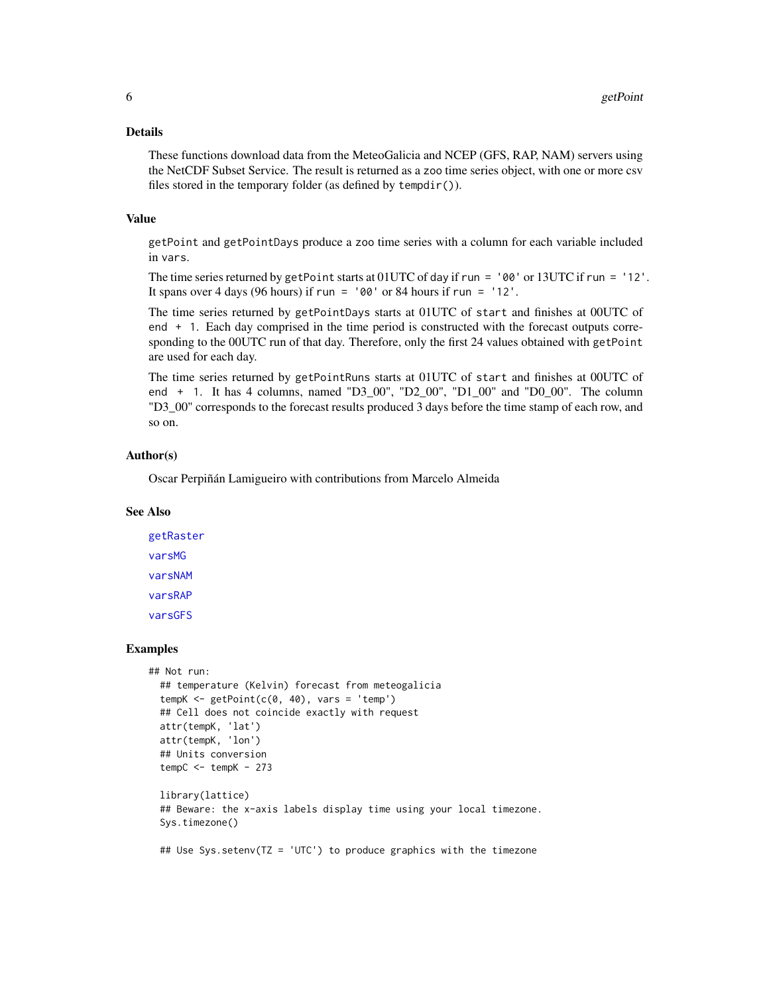#### <span id="page-5-0"></span>Details

These functions download data from the MeteoGalicia and NCEP (GFS, RAP, NAM) servers using the NetCDF Subset Service. The result is returned as a zoo time series object, with one or more csv files stored in the temporary folder (as defined by tempdir()).

#### Value

getPoint and getPointDays produce a zoo time series with a column for each variable included in vars.

The time series returned by getPoint starts at 01UTC of day if run = '00' or 13UTC if run = '12'. It spans over 4 days (96 hours) if run =  $'00'$  or 84 hours if run =  $'12'$ .

The time series returned by getPointDays starts at 01UTC of start and finishes at 00UTC of end + 1. Each day comprised in the time period is constructed with the forecast outputs corresponding to the 00UTC run of that day. Therefore, only the first 24 values obtained with getPoint are used for each day.

The time series returned by getPointRuns starts at 01UTC of start and finishes at 00UTC of end + 1. It has 4 columns, named "D3\_00", "D2\_00", "D1\_00" and "D0\_00". The column "D3\_00" corresponds to the forecast results produced 3 days before the time stamp of each row, and so on.

#### Author(s)

Oscar Perpiñán Lamigueiro with contributions from Marcelo Almeida

#### See Also

[getRaster](#page-6-1) [varsMG](#page-1-1) [varsNAM](#page-1-1) [varsRAP](#page-1-1) [varsGFS](#page-1-1)

#### Examples

```
## Not run:
 ## temperature (Kelvin) forecast from meteogalicia
 tempK < - getPoint(c(0, 40), vars = 'temp')## Cell does not coincide exactly with request
 attr(tempK, 'lat')
 attr(tempK, 'lon')
 ## Units conversion
 tempC < - tempK - 273library(lattice)
 ## Beware: the x-axis labels display time using your local timezone.
 Sys.timezone()
 ## Use Sys.setenv(TZ = 'UTC') to produce graphics with the timezone
```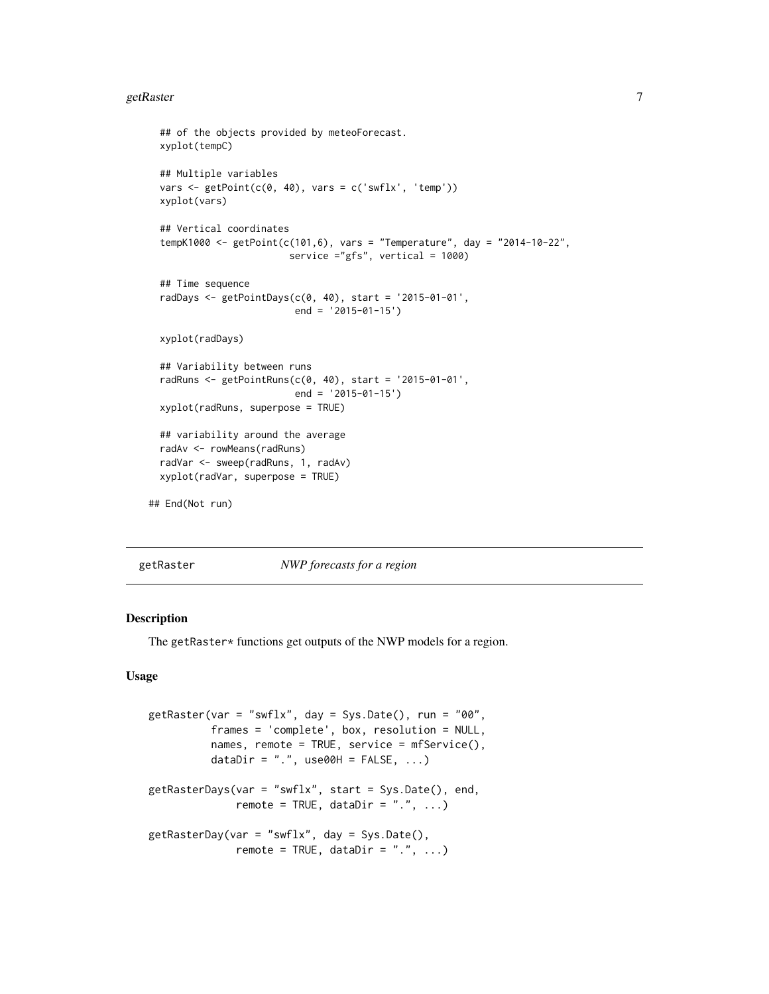#### <span id="page-6-0"></span>getRaster 7 and 2012 19:30 the set of the set of the set of the set of the set of the set of the set of the set of the set of the set of the set of the set of the set of the set of the set of the set of the set of the set

```
## of the objects provided by meteoForecast.
 xyplot(tempC)
 ## Multiple variables
 vars \leq getPoint(c(0, 40), vars = c('swflx', 'temp'))
 xyplot(vars)
 ## Vertical coordinates
 tempK1000 <- getPoint(c(101,6), vars = "Temperature", day = "2014-10-22",
                        service ="gfs", vertical = 1000)
 ## Time sequence
 radDays <- getPointDays(c(0, 40), start = '2015-01-01',
                          end = '2015-01-15')
 xyplot(radDays)
 ## Variability between runs
 radRuns <- getPointRuns(c(0, 40), start = '2015-01-01',
                         end = '2015-01-15')
 xyplot(radRuns, superpose = TRUE)
 ## variability around the average
 radAv <- rowMeans(radRuns)
 radVar <- sweep(radRuns, 1, radAv)
 xyplot(radVar, superpose = TRUE)
## End(Not run)
```
<span id="page-6-1"></span>getRaster *NWP forecasts for a region*

#### Description

The getRaster\* functions get outputs of the NWP models for a region.

#### Usage

```
getRaster(var = "swflx", day = Sys.Date(), run = "00",
         frames = 'complete', box, resolution = NULL,
          names, remote = TRUE, service = mfService(),
         dataDir = ".". use00H = FALSE, ...)
getRasterDays(var = "swflx", start = Sys.Date(), end,
              remote = TRUE, dataDir = "."....)
getRasterDay(var = "swflx", day = Sys.Date(),
              remote = TRUE, dataDir = ".", \ldots)
```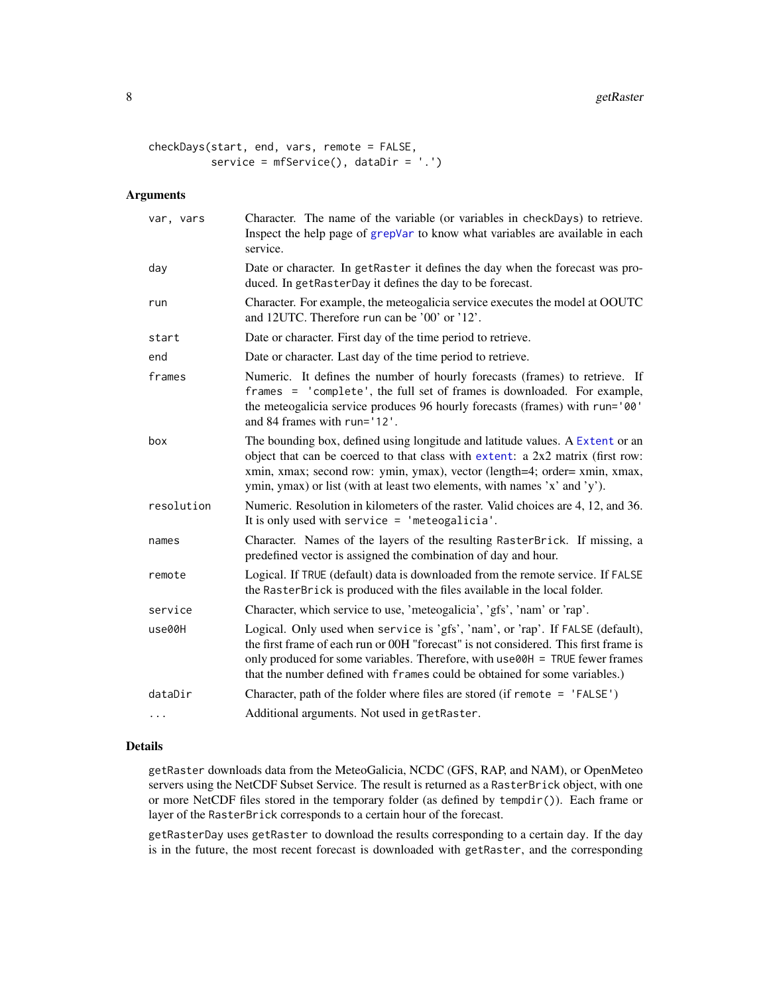#### <span id="page-7-0"></span>8 getRaster and the set of the set of the set of the set of the set of the set of the set of the set of the set of the set of the set of the set of the set of the set of the set of the set of the set of the set of the set

```
checkDays(start, end, vars, remote = FALSE,
         service = mfService(), dataDir = '.')
```
#### Arguments

| var, vars  | Character. The name of the variable (or variables in checkDays) to retrieve.<br>Inspect the help page of grepVar to know what variables are available in each<br>service.                                                                                                                                                            |
|------------|--------------------------------------------------------------------------------------------------------------------------------------------------------------------------------------------------------------------------------------------------------------------------------------------------------------------------------------|
| day        | Date or character. In getRaster it defines the day when the forecast was pro-<br>duced. In getRasterDay it defines the day to be forecast.                                                                                                                                                                                           |
| run        | Character. For example, the meteogalicia service executes the model at OOUTC<br>and 12UTC. Therefore run can be '00' or '12'.                                                                                                                                                                                                        |
| start      | Date or character. First day of the time period to retrieve.                                                                                                                                                                                                                                                                         |
| end        | Date or character. Last day of the time period to retrieve.                                                                                                                                                                                                                                                                          |
| frames     | Numeric. It defines the number of hourly forecasts (frames) to retrieve. If<br>frames = 'complete', the full set of frames is downloaded. For example,<br>the meteogalicia service produces 96 hourly forecasts (frames) with run='00'<br>and 84 frames with run='12'.                                                               |
| box        | The bounding box, defined using longitude and latitude values. A Extent or an<br>object that can be coerced to that class with extent: a 2x2 matrix (first row:<br>xmin, xmax; second row: ymin, ymax), vector (length=4; order= xmin, xmax,<br>ymin, ymax) or list (with at least two elements, with names 'x' and 'y').            |
| resolution | Numeric. Resolution in kilometers of the raster. Valid choices are 4, 12, and 36.<br>It is only used with service $=$ 'meteogalicia'.                                                                                                                                                                                                |
| names      | Character. Names of the layers of the resulting RasterBrick. If missing, a<br>predefined vector is assigned the combination of day and hour.                                                                                                                                                                                         |
| remote     | Logical. If TRUE (default) data is downloaded from the remote service. If FALSE<br>the RasterBrick is produced with the files available in the local folder.                                                                                                                                                                         |
| service    | Character, which service to use, 'meteogalicia', 'gfs', 'nam' or 'rap'.                                                                                                                                                                                                                                                              |
| use00H     | Logical. Only used when service is 'gfs', 'nam', or 'rap'. If FALSE (default),<br>the first frame of each run or 00H "forecast" is not considered. This first frame is<br>only produced for some variables. Therefore, with use00H = TRUE fewer frames<br>that the number defined with frames could be obtained for some variables.) |
| dataDir    | Character, path of the folder where files are stored (if remote = 'FALSE')                                                                                                                                                                                                                                                           |
| $\cdots$   | Additional arguments. Not used in getRaster.                                                                                                                                                                                                                                                                                         |

#### Details

getRaster downloads data from the MeteoGalicia, NCDC (GFS, RAP, and NAM), or OpenMeteo servers using the NetCDF Subset Service. The result is returned as a RasterBrick object, with one or more NetCDF files stored in the temporary folder (as defined by tempdir()). Each frame or layer of the RasterBrick corresponds to a certain hour of the forecast.

getRasterDay uses getRaster to download the results corresponding to a certain day. If the day is in the future, the most recent forecast is downloaded with getRaster, and the corresponding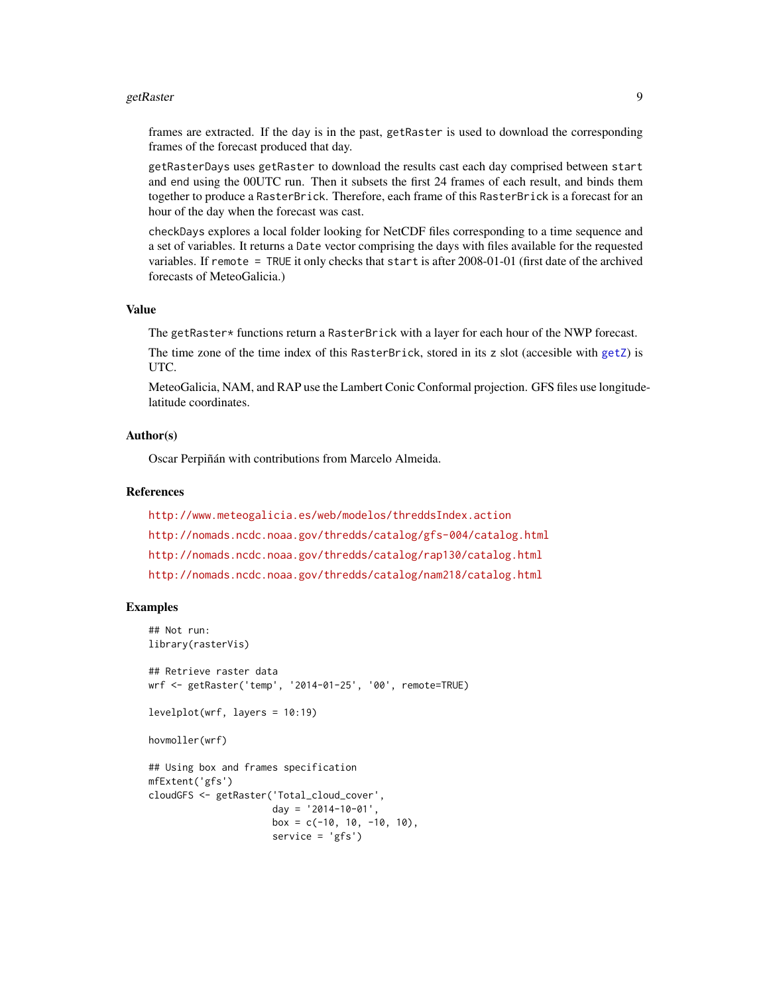#### <span id="page-8-0"></span>getRaster 99

frames are extracted. If the day is in the past, getRaster is used to download the corresponding frames of the forecast produced that day.

getRasterDays uses getRaster to download the results cast each day comprised between start and end using the 00UTC run. Then it subsets the first 24 frames of each result, and binds them together to produce a RasterBrick. Therefore, each frame of this RasterBrick is a forecast for an hour of the day when the forecast was cast.

checkDays explores a local folder looking for NetCDF files corresponding to a time sequence and a set of variables. It returns a Date vector comprising the days with files available for the requested variables. If remote = TRUE it only checks that start is after 2008-01-01 (first date of the archived forecasts of MeteoGalicia.)

#### Value

The getRaster\* functions return a RasterBrick with a layer for each hour of the NWP forecast.

The time zone of the time index of this RasterBrick, stored in its z slot (accesible with [getZ](#page-0-0)) is UTC.

MeteoGalicia, NAM, and RAP use the Lambert Conic Conformal projection. GFS files use longitudelatitude coordinates.

#### Author(s)

Oscar Perpiñán with contributions from Marcelo Almeida.

#### References

<http://www.meteogalicia.es/web/modelos/threddsIndex.action> <http://nomads.ncdc.noaa.gov/thredds/catalog/gfs-004/catalog.html> <http://nomads.ncdc.noaa.gov/thredds/catalog/rap130/catalog.html> <http://nomads.ncdc.noaa.gov/thredds/catalog/nam218/catalog.html>

#### Examples

```
## Not run:
library(rasterVis)
## Retrieve raster data
wrf <- getRaster('temp', '2014-01-25', '00', remote=TRUE)
levelplot(wrf, layers = 10:19)
hovmoller(wrf)
## Using box and frames specification
mfExtent('gfs')
cloudGFS <- getRaster('Total_cloud_cover',
                      day = '2014-10-01',
                      box = c(-10, 10, -10, 10),
                      service = 'gfs')
```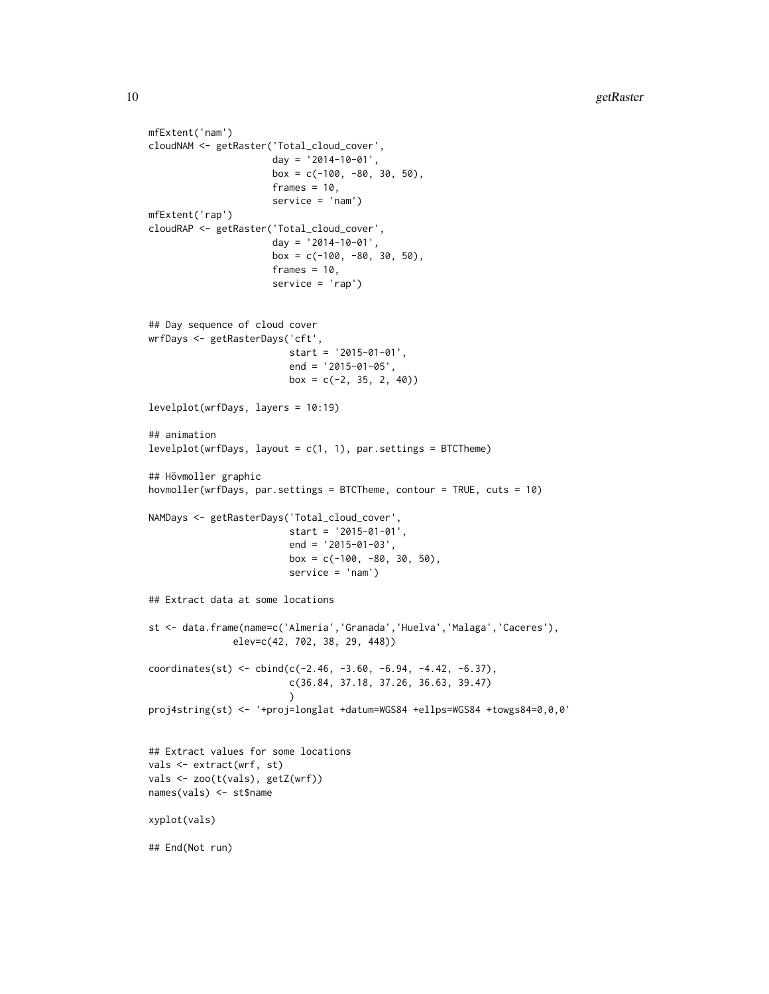```
cloudNAM <- getRaster('Total_cloud_cover',
                      day = '2014-10-01',
                      box = c(-100, -80, 30, 50),
                      frames = 10,
                      service = 'nam')
mfExtent('rap')
cloudRAP <- getRaster('Total_cloud_cover',
                      day = '2014-10-01',
                      box = c(-100, -80, 30, 50),
                      frames = 10,
                      service = 'rap')
## Day sequence of cloud cover
wrfDays <- getRasterDays('cft',
                         start = '2015-01-01',
                         end = '2015-01-05',
                         box = c(-2, 35, 2, 40)levelplot(wrfDays, layers = 10:19)
## animation
levelplot(wrfDays, layout = c(1, 1), par.settings = BTCTheme)
## Hövmoller graphic
hovmoller(wrfDays, par.settings = BTCTheme, contour = TRUE, cuts = 10)
NAMDays <- getRasterDays('Total_cloud_cover',
                         start = '2015-01-01',
                         end = '2015-01-03',
                         box = c(-100, -80, 30, 50),
                         service = 'nam')
## Extract data at some locations
st <- data.frame(name=c('Almeria','Granada','Huelva','Malaga','Caceres'),
               elev=c(42, 702, 38, 29, 448))
coordinates(st) <- cbind(c(-2.46, -3.60, -6.94, -4.42, -6.37),
                         c(36.84, 37.18, 37.26, 36.63, 39.47)
                         )
proj4string(st) <- '+proj=longlat +datum=WGS84 +ellps=WGS84 +towgs84=0,0,0'
## Extract values for some locations
vals <- extract(wrf, st)
vals <- zoo(t(vals), getZ(wrf))
names(vals) <- st$name
xyplot(vals)
## End(Not run)
```
mfExtent('nam')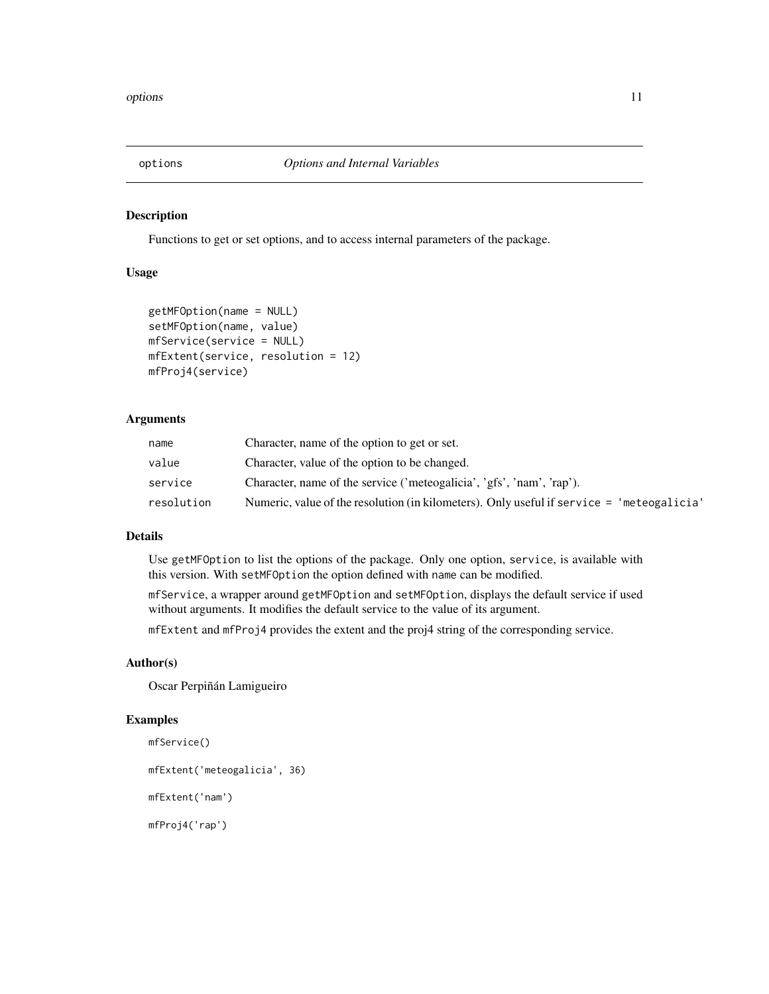<span id="page-10-0"></span>

#### Description

Functions to get or set options, and to access internal parameters of the package.

#### Usage

```
getMFOption(name = NULL)
setMFOption(name, value)
mfService(service = NULL)
mfExtent(service, resolution = 12)
mfProj4(service)
```
#### Arguments

| name       | Character, name of the option to get or set.                                              |
|------------|-------------------------------------------------------------------------------------------|
| value      | Character, value of the option to be changed.                                             |
| service    | Character, name of the service ('meteogalicia', 'gfs', 'nam', 'rap').                     |
| resolution | Numeric, value of the resolution (in kilometers). Only useful if service = 'meteogalicia' |

#### Details

Use getMFOption to list the options of the package. Only one option, service, is available with this version. With setMFOption the option defined with name can be modified.

mfService, a wrapper around getMFOption and setMFOption, displays the default service if used without arguments. It modifies the default service to the value of its argument.

mfExtent and mfProj4 provides the extent and the proj4 string of the corresponding service.

#### Author(s)

Oscar Perpiñán Lamigueiro

#### Examples

```
mfService()
mfExtent('meteogalicia', 36)
mfExtent('nam')
mfProj4('rap')
```